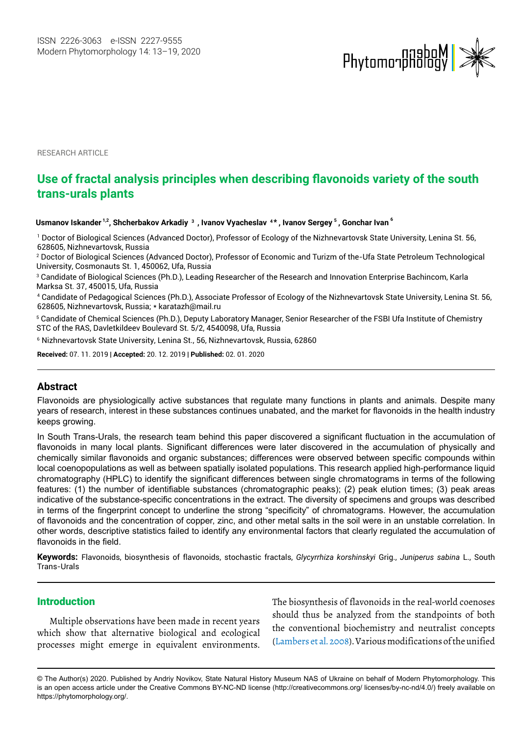

RESEARCH ARTICLE

# **Use of fractal analysis principles when describing flavonoids variety of the south trans-urals plants**

**Usmanov Iskander 1,2, Shcherbakov Arkadiy <sup>3</sup> , Ivanov Vyacheslav <sup>4</sup> , Ivanov Sergey , Gonchar Ivan <sup>6</sup> \* <sup>5</sup>**

1 Doctor of Biological Sciences (Advanced Doctor), Professor of Ecology of the Nizhnevartovsk State University, Lenina St. 56, 628605, Nizhnevartovsk, Russia

2 Doctor of Biological Sciences (Advanced Doctor), Professor of Economic and Turizm of the-Ufa State Petroleum Technological University, Cosmonauts St. 1, 450062, Ufa, Russia

3 Candidate of Biological Sciences (Ph.D.), Leading Researcher of the Research and Innovation Enterprise Bachincom, Karla Marksa St. 37, 450015, Ufa, Russia

4 Candidate of Pedagogical Sciences (Ph.D.), Associate Professor of Ecology of the Nizhnevartovsk State University, Lenina St. 56, 628605, Nizhnevartovsk, Russia; \* karatazh@mail.ru

5 Candidate of Chemical Sciences (Ph.D.), Deputy Laboratory Manager, Senior Researcher of the FSBI Ufa Institute of Chemistry STC of the RAS, Davletkildeev Boulevard St. 5/2, 4540098, Ufa, Russia

6 Nizhnevartovsk State University, Lenina St., 56, Nizhnevartovsk, Russia, 62860

**Received:** 07. 11. 2019 | **Accepted:** 20. 12. 2019 | **Published:** 02. 01. 2020

# **Abstract**

Flavonoids are physiologically active substances that regulate many functions in plants and animals. Despite many years of research, interest in these substances continues unabated, and the market for flavonoids in the health industry keeps growing.

In South Trans-Urals, the research team behind this paper discovered a significant fluctuation in the accumulation of flavonoids in many local plants. Significant differences were later discovered in the accumulation of physically and chemically similar flavonoids and organic substances; differences were observed between specific compounds within local coenopopulations as well as between spatially isolated populations. This research applied high-performance liquid chromatography (HPLC) to identify the significant differences between single chromatograms in terms of the following features: (1) the number of identifiable substances (chromatographic peaks); (2) peak elution times; (3) peak areas indicative of the substance-specific concentrations in the extract. The diversity of specimens and groups was described in terms of the fingerprint concept to underline the strong "specificity" of chromatograms. However, the accumulation of flavonoids and the concentration of copper, zinc, and other metal salts in the soil were in an unstable correlation. In other words, descriptive statistics failed to identify any environmental factors that clearly regulated the accumulation of flavonoids in the field.

**Keywords:** Flavonoids, biosynthesis of flavonoids, stochastic fractals, *Glycyrrhiza korshinskyi* Grig., *Juniperus sabina* L., South Trans-Urals

## **Introduction**

Multiple observations have been made in recent years which show that alternative biological and ecological processes might emerge in equivalent environments.

The biosynthesis of flavonoids in the real-world coenoses should thus be analyzed from the standpoints of both the conventional biochemistry and neutralist concepts (Lambers et al. 2008). Various modifications of the unified

<sup>©</sup> The Author(s) 2020. Published by Andriy Novikov, State Natural History Museum NAS of Ukraine on behalf of Modern Phytomorphology. This is an open access article under the Creative Commons BY-NC-ND license (http://creativecommons.org/ licenses/by-nc-nd/4.0/) freely available on https://phytomorphology.org/.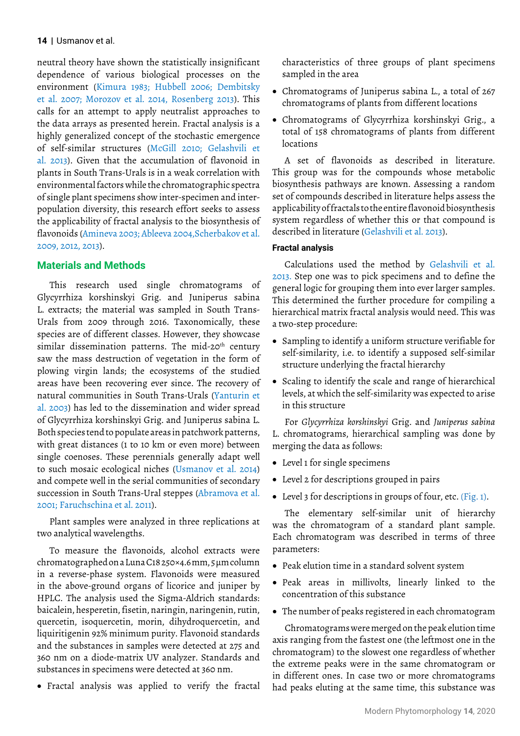neutral theory have shown the statistically insignificant dependence of various biological processes on the environment (Kimura 1983; Hubbell 2006; Dembitsky et al. 2007; Morozov et al. 2014, Rosenberg 2013). This calls for an attempt to apply neutralist approaches to the data arrays as presented herein. Fractal analysis is a highly generalized concept of the stochastic emergence of self-similar structures (McGill 2010; Gelashvili et al. 2013). Given that the accumulation of flavonoid in plants in South Trans-Urals is in a weak correlation with environmental factors while the chromatographic spectra of single plant specimens show inter-specimen and interpopulation diversity, this research effort seeks to assess the applicability of fractal analysis to the biosynthesis of flavonoids (Amineva 2003; Ableeva 2004,Scherbakov et al. 2009, 2012, 2013).

# **Materials and Methods**

This research used single chromatograms of Glycyrrhiza korshinskyi Grig. and Juniperus sabina L. extracts; the material was sampled in South Trans-Urals from 2009 through 2016. Taxonomically, these species are of different classes. However, they showcase similar dissemination patterns. The mid-20<sup>th</sup> century saw the mass destruction of vegetation in the form of plowing virgin lands; the ecosystems of the studied areas have been recovering ever since. The recovery of natural communities in South Trans-Urals (Yanturin et al. 2003) has led to the dissemination and wider spread of Glycyrrhiza korshinskyi Grig. and Juniperus sabina L. Both species tend to populate areas in patchwork patterns, with great distances (1 to 10 km or even more) between single coenoses. These perennials generally adapt well to such mosaic ecological niches (Usmanov et al. 2014) and compete well in the serial communities of secondary succession in South Trans-Ural steppes (Abramova et al. 2001; Faruchschina et al. 2011).

Plant samples were analyzed in three replications at two analytical wavelengths.

To measure the flavonoids, alcohol extracts were chromatographed on a Luna C18 250×4.6 mm, 5 µm column in a reverse-phase system. Flavonoids were measured in the above-ground organs of licorice and juniper by HPLC. The analysis used the Sigma-Aldrich standards: baicalein, hesperetin, fisetin, naringin, naringenin, rutin, quercetin, isoquercetin, morin, dihydroquercetin, and liquiritigenin 92% minimum purity. Flavonoid standards and the substances in samples were detected at 275 and 360 nm on a diode-matrix UV analyzer. Standards and substances in specimens were detected at 360 nm.

• Fractal analysis was applied to verify the fractal

characteristics of three groups of plant specimens sampled in the area

- Chromatograms of Juniperus sabina L., a total of 267 chromatograms of plants from different locations
- • Chromatograms of Glycyrrhiza korshinskyi Grig., a total of 158 chromatograms of plants from different locations

A set of flavonoids as described in literature. This group was for the compounds whose metabolic biosynthesis pathways are known. Assessing a random set of compounds described in literature helps assess the applicability of fractals to the entire flavonoid biosynthesis system regardless of whether this or that compound is described in literature (Gelashvili et al. 2013).

# **Fractal analysis**

Calculations used the method by Gelashvili et al. 2013. Step one was to pick specimens and to define the general logic for grouping them into ever larger samples. This determined the further procedure for compiling a hierarchical matrix fractal analysis would need. This was a two-step procedure:

- • Sampling to identify a uniform structure verifiable for self-similarity, i.e. to identify a supposed self-similar structure underlying the fractal hierarchy
- Scaling to identify the scale and range of hierarchical levels, at which the self-similarity was expected to arise in this structure

For *Glycyrrhiza korshinskyi* Grig. and *Juniperus sabina* L. chromatograms, hierarchical sampling was done by merging the data as follows:

- • Level 1 for single specimens
- Level 2 for descriptions grouped in pairs
- Level 3 for descriptions in groups of four, etc. (Fig. 1).

The elementary self-similar unit of hierarchy was the chromatogram of a standard plant sample. Each chromatogram was described in terms of three parameters:

- • Peak elution time in a standard solvent system
- • Peak areas in millivolts, linearly linked to the concentration of this substance
- The number of peaks registered in each chromatogram

Chromatograms were merged on the peak elution time axis ranging from the fastest one (the leftmost one in the chromatogram) to the slowest one regardless of whether the extreme peaks were in the same chromatogram or in different ones. In case two or more chromatograms had peaks eluting at the same time, this substance was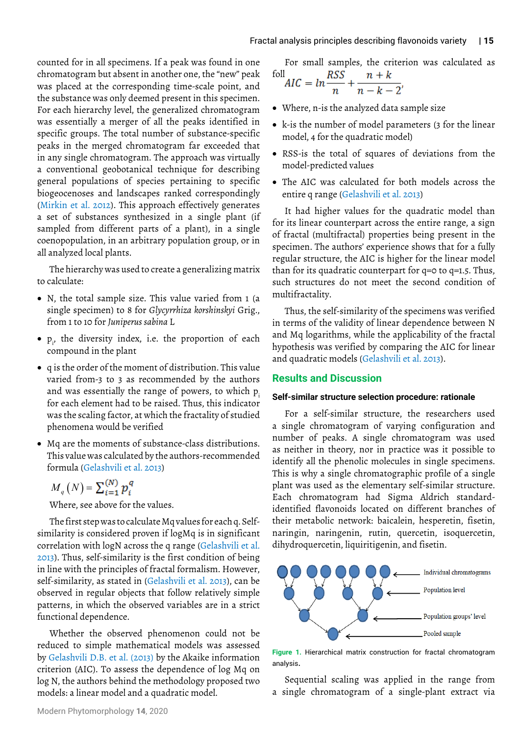counted for in all specimens. If a peak was found in one chromatogram but absent in another one, the "new" peak was placed at the corresponding time-scale point, and the substance was only deemed present in this specimen. For each hierarchy level, the generalized chromatogram was essentially a merger of all the peaks identified in specific groups. The total number of substance-specific peaks in the merged chromatogram far exceeded that in any single chromatogram. The approach was virtually a conventional geobotanical technique for describing general populations of species pertaining to specific biogeocenoses and landscapes ranked correspondingly (Mirkin et al. 2012). This approach effectively generates a set of substances synthesized in a single plant (if sampled from different parts of a plant), in a single coenopopulation, in an arbitrary population group, or in all analyzed local plants.

The hierarchy was used to create a generalizing matrix to calculate:

- N, the total sample size. This value varied from 1 (a single specimen) to 8 for *Glycyrrhiza korshinskyi* Grig., from 1 to 10 for *Juniperus sabina* L
- $p_i$ , the diversity index, i.e. the proportion of each compound in the plant
- • q is the order of the moment of distribution. This value varied from-3 to 3 as recommended by the authors and was essentially the range of powers, to which  $p_i$ for each element had to be raised. Thus, this indicator was the scaling factor, at which the fractality of studied phenomena would be verified
- • Mq are the moments of substance-class distributions. This value was calculated by the authors-recommended formula (Gelashvili et al. 2013)

 $M_q(N) = \sum_{i=1}^{(N)} p_i^q$ 

Where, see above for the values.

The first step was to calculate Mq values for each q. Selfsimilarity is considered proven if logMq is in significant correlation with logN across the q range (Gelashvili et al. 2013). Thus, self-similarity is the first condition of being in line with the principles of fractal formalism. However, self-similarity, as stated in (Gelashvili et al. 2013), can be observed in regular objects that follow relatively simple patterns, in which the observed variables are in a strict functional dependence.

Whether the observed phenomenon could not be reduced to simple mathematical models was assessed by Gelashvili D.B. et al. (2013) by the Akaike information criterion (AIC). To assess the dependence of log Mq on log N, the authors behind the methodology proposed two models: a linear model and a quadratic model.

For small samples, the criterion was calculated as<br> $PSS = n + k$  $f_0$ ll  $n + b$ 

$$
AIC = \ln \frac{RSS}{n} + \frac{n + k}{n - k - 2},
$$

- • Where, n-is the analyzed data sample size
- k-is the number of model parameters (3 for the linear model, 4 for the quadratic model)
- • RSS-is the total of squares of deviations from the model-predicted values
- The AIC was calculated for both models across the entire q range (Gelashvili et al. 2013)

It had higher values for the quadratic model than for its linear counterpart across the entire range, a sign of fractal (multifractal) properties being present in the specimen. The authors' experience shows that for a fully regular structure, the AIC is higher for the linear model than for its quadratic counterpart for q=0 to q=1.5. Thus, such structures do not meet the second condition of multifractality.

Thus, the self-similarity of the specimens was verified in terms of the validity of linear dependence between N and Mq logarithms, while the applicability of the fractal hypothesis was verified by comparing the AIC for linear and quadratic models (Gelashvili et al. 2013).

# **Results and Discussion**

#### **Self-similar structure selection procedure: rationale**

For a self-similar structure, the researchers used a single chromatogram of varying configuration and number of peaks. A single chromatogram was used as neither in theory, nor in practice was it possible to identify all the phenolic molecules in single specimens. This is why a single chromatographic profile of a single plant was used as the elementary self-similar structure. Each chromatogram had Sigma Aldrich standardidentified flavonoids located on different branches of their metabolic network: baicalein, hesperetin, fisetin, naringin, naringenin, rutin, quercetin, isoquercetin, dihydroquercetin, liquiritigenin, and fisetin.



**Figure 1.** Hierarchical matrix construction for fractal chromatogram analysis.

Sequential scaling was applied in the range from a single chromatogram of a single-plant extract via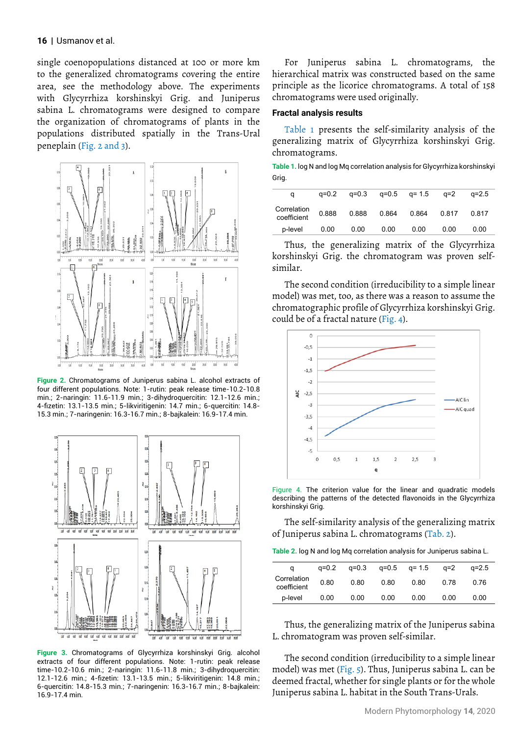single coenopopulations distanced at 100 or more km to the generalized chromatograms covering the entire area, see the methodology above. The experiments with Glycyrrhiza korshinskyi Grig. and Juniperus sabina L. chromatograms were designed to compare the organization of chromatograms of plants in the populations distributed spatially in the Trans-Ural peneplain (Fig. 2 and 3).



**Figure 2.** Chromatograms of Juniperus sabina L. alcohol extracts of four different populations. Note: 1-rutin: peak release time-10.2-10.8 min.; 2-naringin: 11.6-11.9 min.; 3-dihydroquercitin: 12.1-12.6 min.; 4-fizetin: 13.1-13.5 min.; 5-likviritigenin: 14.7 min.; 6-quercitin: 14.8- 15.3 min.; 7-naringenin: 16.3-16.7 min.; 8-bajkalein: 16.9-17.4 min.



**Figure 3.** Chromatograms of Glycyrrhiza korshinskyi Grig. alcohol extracts of four different populations. Note: 1-rutin: peak release time-10.2-10.6 min.; 2-naringin: 11.6-11.8 min.; 3-dihydroquercitin: 12.1-12.6 min.; 4-fizetin: 13.1-13.5 min.; 5-likviritigenin: 14.8 min.; 6-quercitin: 14.8-15.3 min.; 7-naringenin: 16.3-16.7 min.; 8-bajkalein: 16.9-17.4 min.

For Juniperus sabina L. chromatograms, the hierarchical matrix was constructed based on the same principle as the licorice chromatograms. A total of 158 chromatograms were used originally.

#### **Fractal analysis results**

Table 1 presents the self-similarity analysis of the generalizing matrix of Glycyrrhiza korshinskyi Grig. chromatograms.

**Table 1.** log N and log Mq correlation analysis for Glycyrrhiza korshinskyi Grig.

| a                          | $a = 0.2$ | $a = 0.3$ |       | $q=0.5$ $q=1.5$ | $a=2$ | $a=2.5$ |
|----------------------------|-----------|-----------|-------|-----------------|-------|---------|
| Correlation<br>coefficient | 0.888     | 0.888     | 0.864 | 0.864           | 0.817 | 0.817   |
| p-level                    | 0.00      | 0.00      | 0.00  | 0.00            | 0.00  | 0.00    |
|                            |           |           |       |                 |       |         |

Thus, the generalizing matrix of the Glycyrrhiza korshinskyi Grig. the chromatogram was proven selfsimilar.

The second condition (irreducibility to a simple linear model) was met, too, as there was a reason to assume the chromatographic profile of Glycyrrhiza korshinskyi Grig. could be of a fractal nature (Fig. 4).



Figure 4. The criterion value for the linear and quadratic models describing the patterns of the detected flavonoids in the Glycyrrhiza korshinskyi Grig.

The self-similarity analysis of the generalizing matrix of Juniperus sabina L. chromatograms (Tab. 2).

| <b>Table 2.</b> log N and log Mq correlation analysis for Juniperus sabina L. |  |
|-------------------------------------------------------------------------------|--|
|-------------------------------------------------------------------------------|--|

| a                          | a=0.2 | q=0.3 |      | q=0.5 q= 1.5 | $q=2$ | $a=2.5$ |
|----------------------------|-------|-------|------|--------------|-------|---------|
| Correlation<br>coefficient | 0.80  | 0.80  | 0.80 | 0.80         | 0.78  | 0.76    |
| p-level                    | 0.00  | 0.00  | 0.00 | 0.00         | 0.00  | 0.00    |
|                            |       |       |      |              |       |         |

Thus, the generalizing matrix of the Juniperus sabina L. chromatogram was proven self-similar.

The second condition (irreducibility to a simple linear model) was met (Fig. 5). Thus, Juniperus sabina L. can be deemed fractal, whether for single plants or for the whole Juniperus sabina L. habitat in the South Trans-Urals.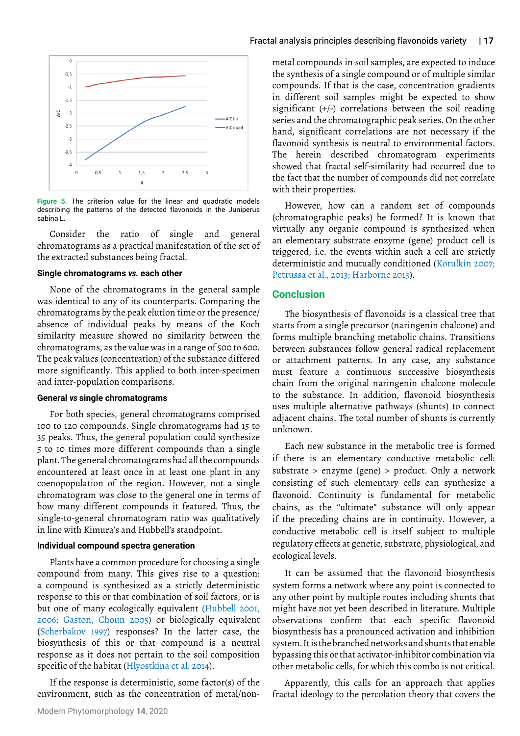

**Figure 5.** The criterion value for the linear and quadratic models describing the patterns of the detected flavonoids in the Juniperus sabina L.

Consider the ratio of single and general chromatograms as a practical manifestation of the set of the extracted substances being fractal.

## **Single chromatograms** *vs.* **each other**

None of the chromatograms in the general sample was identical to any of its counterparts. Comparing the chromatograms by the peak elution time or the presence/ absence of individual peaks by means of the Koch similarity measure showed no similarity between the chromatograms, as the value was in a range of 500 to 600. The peak values (concentration) of the substance differed more significantly. This applied to both inter-specimen and inter-population comparisons.

## **General** *vs* **single chromatograms**

For both species, general chromatograms comprised 100 to 120 compounds. Single chromatograms had 15 to 35 peaks. Thus, the general population could synthesize 5 to 10 times more different compounds than a single plant. The general chromatograms had all the compounds encountered at least once in at least one plant in any coenopopulation of the region. However, not a single chromatogram was close to the general one in terms of how many different compounds it featured. Thus, the single-to-general chromatogram ratio was qualitatively in line with Kimura's and Hubbell's standpoint.

#### **Individual compound spectra generation**

Plants have a common procedure for choosing a single compound from many. This gives rise to a question: a compound is synthesized as a strictly deterministic response to this or that combination of soil factors, or is but one of many ecologically equivalent (Hubbell 2001, 2006; Gaston, Choun 2005) or biologically equivalent (Scherbakov 1997) responses? In the latter case, the biosynthesis of this or that compound is a neutral response as it does not pertain to the soil composition specific of the habitat (Hlyostkina et al. 2014).

If the response is deterministic, some factor(s) of the environment, such as the concentration of metal/nonmetal compounds in soil samples, are expected to induce the synthesis of a single compound or of multiple similar compounds. If that is the case, concentration gradients in different soil samples might be expected to show significant (+/-) correlations between the soil reading series and the chromatographic peak series. On the other hand, significant correlations are not necessary if the flavonoid synthesis is neutral to environmental factors. The herein described chromatogram experiments showed that fractal self-similarity had occurred due to the fact that the number of compounds did not correlate with their properties.

However, how can a random set of compounds (chromatographic peaks) be formed? It is known that virtually any organic compound is synthesized when an elementary substrate enzyme (gene) product cell is triggered, i.e. the events within such a cell are strictly deterministic and mutually conditioned (Korulkin 2007; Petrussa et al., 2013; Harborne 2013).

#### **Conclusion**

The biosynthesis of flavonoids is a classical tree that starts from a single precursor (naringenin chalcone) and forms multiple branching metabolic chains. Transitions between substances follow general radical replacement or attachment patterns. In any case, any substance must feature a continuous successive biosynthesis chain from the original naringenin chalcone molecule to the substance. In addition, flavonoid biosynthesis uses multiple alternative pathways (shunts) to connect adjacent chains. The total number of shunts is currently unknown.

Each new substance in the metabolic tree is formed if there is an elementary conductive metabolic cell: substrate > enzyme (gene) > product. Only a network consisting of such elementary cells can synthesize a flavonoid. Continuity is fundamental for metabolic chains, as the "ultimate" substance will only appear if the preceding chains are in continuity. However, a conductive metabolic cell is itself subject to multiple regulatory effects at genetic, substrate, physiological, and ecological levels.

It can be assumed that the flavonoid biosynthesis system forms a network where any point is connected to any other point by multiple routes including shunts that might have not yet been described in literature. Multiple observations confirm that each specific flavonoid biosynthesis has a pronounced activation and inhibition system. It is the branched networks and shunts that enable bypassing this or that activator-inhibitor combination via other metabolic cells, for which this combo is not critical.

Apparently, this calls for an approach that applies fractal ideology to the percolation theory that covers the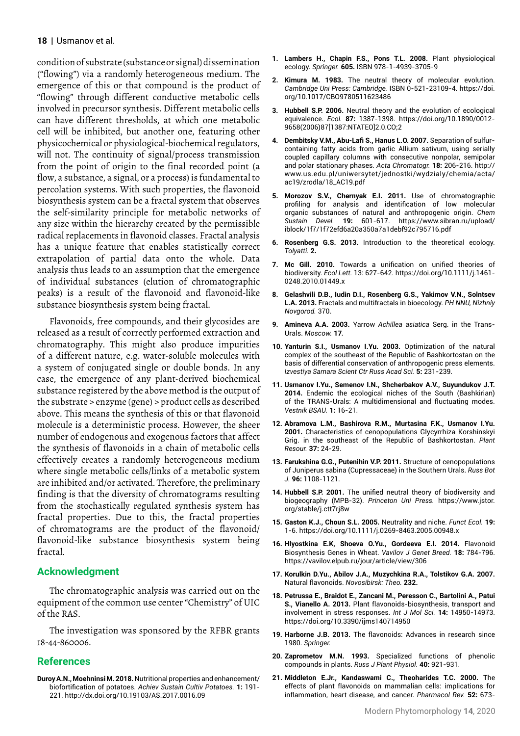condition of substrate (substance or signal) dissemination ("flowing") via a randomly heterogeneous medium. The emergence of this or that compound is the product of "flowing" through different conductive metabolic cells involved in precursor synthesis. Different metabolic cells can have different thresholds, at which one metabolic cell will be inhibited, but another one, featuring other physicochemical or physiological-biochemical regulators, will not. The continuity of signal/process transmission from the point of origin to the final recorded point (a flow, a substance, a signal, or a process) is fundamental to percolation systems. With such properties, the flavonoid biosynthesis system can be a fractal system that observes the self-similarity principle for metabolic networks of any size within the hierarchy created by the permissible radical replacements in flavonoid classes. Fractal analysis has a unique feature that enables statistically correct extrapolation of partial data onto the whole. Data analysis thus leads to an assumption that the emergence of individual substances (elution of chromatographic peaks) is a result of the flavonoid and flavonoid-like substance biosynthesis system being fractal.

Flavonoids, free compounds, and their glycosides are released as a result of correctly performed extraction and chromatography. This might also produce impurities of a different nature, e.g. water-soluble molecules with a system of conjugated single or double bonds. In any case, the emergence of any plant-derived biochemical substance registered by the above method is the output of the substrate > enzyme (gene) > product cells as described above. This means the synthesis of this or that flavonoid molecule is a deterministic process. However, the sheer number of endogenous and exogenous factors that affect the synthesis of flavonoids in a chain of metabolic cells effectively creates a randomly heterogeneous medium where single metabolic cells/links of a metabolic system are inhibited and/or activated. Therefore, the preliminary finding is that the diversity of chromatograms resulting from the stochastically regulated synthesis system has fractal properties. Due to this, the fractal properties of chromatograms are the product of the flavonoid/ flavonoid-like substance biosynthesis system being fractal.

## **Acknowledgment**

The chromatographic analysis was carried out on the equipment of the common use center "Chemistry" of UIC of the RAS.

The investigation was sponsored by the RFBR grants 18-44-860006.

## **References**

**Duroy A.N., Moehninsi M. 2018.** Nutritional properties and enhancement/ biofortification of potatoes. *Achiev Sustain Cultiv Potatoes.* **1:** 191- 221.<http://dx.doi.org/10.19103/AS.2017.0016.09>

- **1. Lambers H., Chapin F.S., Pons T.L. 2008.** Plant physiological ecology. *Springer.* **605.** ISBN 978-1-4939-3705-9
- **2. Kimura M. 1983.** The neutral theory of molecular evolution. *Cambridge Uni Press: Cambridge.* ISBN 0-521-23109-4. [https://doi.](https://doi.org/10.1017/CBO9780511623486) [org/10.1017/CBO9780511623486](https://doi.org/10.1017/CBO9780511623486)
- **3. Hubbell S.P. 2006.** Neutral theory and the evolution of ecological equivalence. *Ecol.* **87:** 1387-1398. [https://doi.org/10.1890/0012-](https://doi.org/10.1890/0012-9658(2006)87%5b1387:NTATEO%5d2.0.CO;2) [9658\(2006\)87\[1387:NTATEO\]2.0.CO;2](https://doi.org/10.1890/0012-9658(2006)87%5b1387:NTATEO%5d2.0.CO;2)
- **4. Dembitsky V.M., Abu-Lafi S., Hanus L.O. 2007.** Separation of sulfurcontaining fatty acids from garlic Allium sativum, using serially coupled capillary columns with consecutive nonpolar, semipolar and polar stationary phases. *Acta Chromatogr.* **18:** 206-216. [http://](http://www.us.edu.pl/uniwersytet/jednostki/wydzialy/chemia/acta/ac19/zrodla/18_AC19.pdf) [www.us.edu.pl/uniwersytet/jednostki/wydzialy/chemia/acta/](http://www.us.edu.pl/uniwersytet/jednostki/wydzialy/chemia/acta/ac19/zrodla/18_AC19.pdf) [ac19/zrodla/18\\_AC19.pdf](http://www.us.edu.pl/uniwersytet/jednostki/wydzialy/chemia/acta/ac19/zrodla/18_AC19.pdf)
- **5. Morozov S.V., Chernyak E.I. 2011.** Use of chromatographic profiling for analysis and identification of low molecular organic substances of natural and anthropogenic origin. *Chem Sustain Devel.* **19:** 601-617. [https://www.sibran.ru/upload/](https://www.sibran.ru/upload/iblock/1f7/1f72efd6a20a350a7a1debf92c795716.pdf) [iblock/1f7/1f72efd6a20a350a7a1debf92c795716.pdf](https://www.sibran.ru/upload/iblock/1f7/1f72efd6a20a350a7a1debf92c795716.pdf)
- **6. Rosenberg G.S. 2013.** Introduction to the theoretical ecology. *Tolyatti.* **2.**
- **7. Mc Gill. 2010.** Towards a unification on unified theories of biodiversity. *Ecol Lett.* 13: 627-642. [https://doi.org/10.1111/j.1461-](https://doi.org/10.1111/j.1461-0248.2010.01449.x) [0248.2010.01449.x](https://doi.org/10.1111/j.1461-0248.2010.01449.x)
- **8. Gelashvili D.B., Iudin D.I., Rosenberg G.S., Yakimov V.N., Solntsev L.A. 2013.** Fractals and multifractals in bioecology. *PH NNU, Nizhniy Novgorod.* 370.
- **9. Amineva А.А. 2003.** Yarrow *Achillea asiatica* Serg. in the Trans-Urals. *Moscow.* **17**.
- **10. Yanturin S.I., Usmanov I.Yu. 2003.** Optimization of the natural complex of the southeast of the Republic of Bashkortostan on the basis of differential conservation of anthropogenic press elements. *Izvestiya Samara Scient Ctr Russ Acad Sci.* **5:** 231-239.
- **11. Usmanov I.Yu., Semenov I.N., Shcherbakov A.V., Suyundukov J.T. 2014.** Endemic the ecological niches of the South (Bashkirian) of the TRANS-Urals: A multidimensional and fluctuating modes. *Vestnik BSAU.* **1:** 16-21.
- **12. Abramova L.M., Bashirova R.M., Murtasina F.K., Usmanov I.Yu. 2001.** Characteristics of cenopopulations Glycyrrhiza Korshinskyi Grig. in the southeast of the Republic of Bashkortostan. *Plant Resour.* **37:** 24-29.
- **13. Farukshina G.G., Putenihin V.P. 2011.** Structure of cenopopulations of Juniperus sabina (Cupressaceae) in the Southern Urals. *Russ Bot J.* **96:** 1108-1121.
- **14. Hubbell S.P. 2001.** The unified neutral theory of biodiversity and biogeography (MPB-32). *Princeton Uni Press.* [https://www.jstor.](https://www.jstor.org/stable/j.ctt7rj8w) [org/stable/j.ctt7rj8w](https://www.jstor.org/stable/j.ctt7rj8w)
- **15. Gaston K.J., Choun S.L. 2005.** Neutrality and niche. *Funct Ecol.* **19:** 1-6. <https://doi.org/10.1111/j.0269-8463.2005.00948.x>
- **16. Hlyostkina E.K, Shoeva О.Yu., Gordeeva E.I. 2014.** Flavonoid Biosynthesis Genes in Wheat. *Vavilov J Genet Breed.* **18:** 784-796. <https://vavilov.elpub.ru/jour/article/view/306>
- **17. Korulkin D.Yu., Abilov J.A., Muzychkina R.A., Tolstikov G.A. 2007.**  Natural flavonoids. *Novosibirsk: Theo.* **232.**
- **18. Petrussa E., Braidot E., Zancani M., Peresson C., Bartolini A., Patui S., Vianello A. 2013.** Plant flavonoids-biosynthesis, transport and involvement in stress responses. *Int J Mol Sci.* **14:** 14950-14973. <https://doi.org/10.3390/ijms140714950>
- **19. Harborne J.B. 2013.** The flavonoids: Advances in research since 1980. *Springer.*
- **20. Zaprometov M.N. 1993.** Specialized functions of phenolic compounds in plants. *Russ J Plant Physiol.* **40:** 921-931.
- **21. Middleton E.Jr., Kandaswami C., Theoharides T.C. 2000.** The effects of plant flavonoids on mammalian cells: implications for inflammation, heart disease, and cancer. *Pharmacol Rev.* **52:** 673-